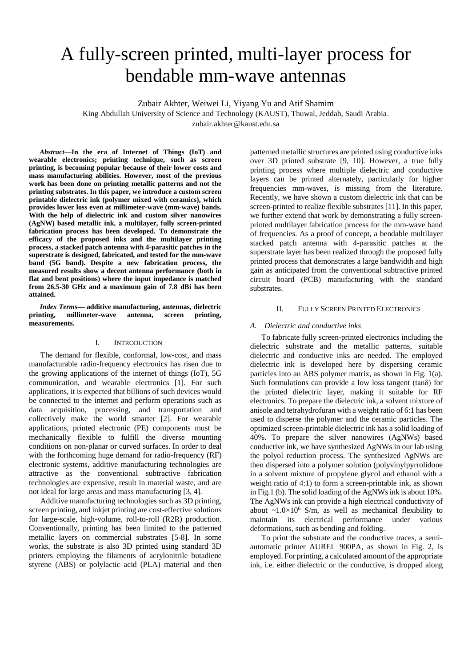# A fully-screen printed, multi-layer process for bendable mm-wave antennas

Zubair Akhter, Weiwei Li, Yiyang Yu and Atif Shamim

King Abdullah University of Science and Technology (KAUST), Thuwal, Jeddah, Saudi Arabia. zubair.akhter@kaust.edu.sa

*Abstract***—In the era of Internet of Things (IoT) and wearable electronics; printing technique, such as screen printing, is becoming popular because of their lower costs and mass manufacturing abilities. However, most of the previous work has been done on printing metallic patterns and not the printing substrates. In this paper, we introduce a custom screen printable dielectric ink (polymer mixed with ceramics), which provides lower loss even at millimeter-wave (mm-wave) bands. With the help of dielectric ink and custom silver nanowires (AgNW) based metallic ink, a multilayer, fully screen-printed fabrication process has been developed. To demonstrate the efficacy of the proposed inks and the multilayer printing process, a stacked patch antenna with 4-parasitic patches in the superstrate is designed, fabricated, and tested for the mm-wave band (5G band). Despite a new fabrication process, the measured results show a decent antenna performance (both in flat and bent positions) where the input impedance is matched from 26.5-30 GHz and a maximum gain of 7.8 dBi has been attained.** 

*Index Terms—* **additive manufacturing, antennas, dielectric printing, millimeter-wave antenna, screen printing, measurements.**

# I. INTRODUCTION

The demand for flexible, conformal, low-cost, and mass manufacturable radio-frequency electronics has risen due to the growing applications of the internet of things (IoT), 5G communication, and wearable electronics [1]. For such applications, it is expected that billions of such devices would be connected to the internet and perform operations such as data acquisition, processing, and transportation and collectively make the world smarter [2]. For wearable applications, printed electronic (PE) components must be mechanically flexible to fulfill the diverse mounting conditions on non-planar or curved surfaces. In order to deal with the forthcoming huge demand for radio-frequency (RF) electronic systems, additive manufacturing technologies are attractive as the conventional subtractive fabrication technologies are expensive, result in material waste, and are not ideal for large areas and mass manufacturing [3, 4].

Additive manufacturing technologies such as 3D printing, screen printing, and inkjet printing are cost-effective solutions for large-scale, high-volume, roll-to-roll (R2R) production. Conventionally, printing has been limited to the patterned metallic layers on commercial substrates [5-8]. In some works, the substrate is also 3D printed using standard 3D printers employing the filaments of acrylonitrile butadiene styrene (ABS) or polylactic acid (PLA) material and then

patterned metallic structures are printed using conductive inks over 3D printed substrate [9, 10]. However, a true fully printing process where multiple dielectric and conductive layers can be printed alternately, particularly for higher frequencies mm-waves, is missing from the literature. Recently, we have shown a custom dielectric ink that can be screen-printed to realize flexible substrates [11]. In this paper, we further extend that work by demonstrating a fully screenprinted multilayer fabrication process for the mm-wave band of frequencies. As a proof of concept, a bendable multilayer stacked patch antenna with 4-parasitic patches at the superstrate layer has been realized through the proposed fully printed process that demonstrates a large bandwidth and high gain as anticipated from the conventional subtractive printed circuit board (PCB) manufacturing with the standard substrates.

## II. FULLY SCREEN PRINTED ELECTRONICS

## *A. Dielectric and conductive inks*

To fabricate fully screen-printed electronics including the dielectric substrate and the metallic patterns, suitable dielectric and conductive inks are needed. The employed dielectric ink is developed here by dispersing ceramic particles into an ABS polymer matrix, as shown in Fig. 1(a). Such formulations can provide a low loss tangent (tanδ) for the printed dielectric layer, making it suitable for RF electronics. To prepare the dielectric ink, a solvent mixture of anisole and tetrahydrofuran with a weight ratio of 6:1 has been used to disperse the polymer and the ceramic particles. The optimized screen-printable dielectric ink has a solid loading of 40%. To prepare the silver nanowires (AgNWs) based conductive ink, we have synthesized AgNWs in our lab using the polyol reduction process. The synthesized AgNWs are then dispersed into a polymer solution (polyvinylpyrrolidone in a solvent mixture of propylene glycol and ethanol with a weight ratio of 4:1) to form a screen-printable ink, as shown in Fig.1 (b). The solid loading of the AgNWs ink is about 10%. The AgNWs ink can provide a high electrical conductivity of about  $\sim 1.0 \times 10^6$  S/m, as well as mechanical flexibility to maintain its electrical performance under various deformations, such as bending and folding.

To print the substrate and the conductive traces, a semiautomatic printer AUREL 900PA, as shown in Fig. 2, is employed. For printing, a calculated amount of the appropriate ink, i.e. either dielectric or the conductive, is dropped along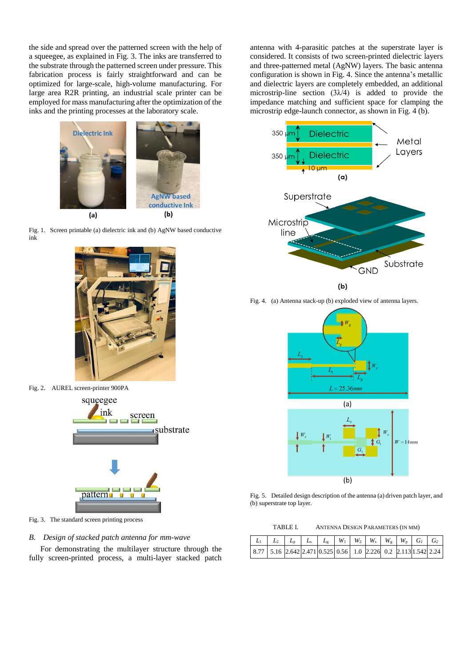the side and spread over the patterned screen with the help of a squeegee, as explained in Fig. 3. The inks are transferred to the substrate through the patterned screen under pressure. This fabrication process is fairly straightforward and can be optimized for large-scale, high-volume manufacturing. For large area R2R printing, an industrial scale printer can be employed for mass manufacturing after the optimization of the inks and the printing processes at the laboratory scale.







Fig. 2. AUREL screen-printer 900PA squeegee ink screen substrate pattern.

Fig. 3. The standard screen printing process

*B. Design of stacked patch antenna for mm-wave*

For demonstrating the multilayer structure through the fully screen-printed process, a multi-layer stacked patch antenna with 4-parasitic patches at the superstrate layer is considered. It consists of two screen-printed dielectric layers and three-patterned metal (AgNW) layers. The basic antenna configuration is shown in Fig. 4. Since the antenna's metallic and dielectric layers are completely embedded, an additional microstrip-line section  $(3\lambda/4)$  is added to provide the impedance matching and sufficient space for clamping the microstrip edge-launch connector, as shown in Fig. 4 (b).



Fig. 4. (a) Antenna stack-up (b) exploded view of antenna layers.



Fig. 5. Detailed design description of the antenna (a) driven patch layer, and (b) superstrate top layer.

| TABLE I. | ANTENNA DESIGN PARAMETERS (IN MM) |  |
|----------|-----------------------------------|--|
|          |                                   |  |

|  |  | $\vert 8.77 \vert 5.16 \vert 2.642 \vert 2.471 \vert 0.525 \vert 0.56 \vert 1.0 \vert 2.226 \vert 0.2 \vert 2.113 \vert 1.542 \vert 2.24$ |  |  |  |  |
|--|--|-------------------------------------------------------------------------------------------------------------------------------------------|--|--|--|--|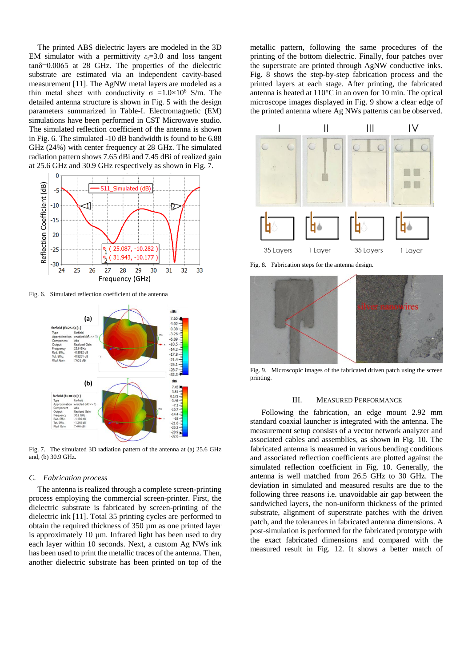The printed ABS dielectric layers are modeled in the 3D EM simulator with a permittivity  $\varepsilon_r = 3.0$  and loss tangent tanδ=0.0065 at 28 GHz. The properties of the dielectric substrate are estimated via an independent cavity-based measurement [11]. The AgNW metal layers are modeled as a thin metal sheet with conductivity  $\sigma =1.0\times10^6$  S/m. The detailed antenna structure is shown in Fig. 5 with the design parameters summarized in Table-I. Electromagnetic (EM) simulations have been performed in CST Microwave studio. The simulated reflection coefficient of the antenna is shown in Fig. 6. The simulated -10 dB bandwidth is found to be 6.88 GHz (24%) with center frequency at 28 GHz. The simulated radiation pattern shows 7.65 dBi and 7.45 dBi of realized gain at 25.6 GHz and 30.9 GHz respectively as shown in Fig. 7.



Fig. 6. Simulated reflection coefficient of the antenna



Fig. 7. The simulated 3D radiation pattern of the antenna at (a) 25.6 GHz and, (b) 30.9 GHz.

#### *C. Fabrication process*

The antenna is realized through a complete screen-printing process employing the commercial screen-printer. First, the dielectric substrate is fabricated by screen-printing of the dielectric ink [11]. Total 35 printing cycles are performed to obtain the required thickness of 350 µm as one printed layer is approximately 10 µm. Infrared light has been used to dry each layer within 10 seconds. Next, a custom Ag NWs ink has been used to print the metallic traces of the antenna. Then, another dielectric substrate has been printed on top of the

metallic pattern, following the same procedures of the printing of the bottom dielectric. Finally, four patches over the superstrate are printed through AgNW conductive inks. Fig. 8 shows the step-by-step fabrication process and the printed layers at each stage. After printing, the fabricated antenna is heated at 110°C in an oven for 10 min. The optical microscope images displayed in Fig. 9 show a clear edge of the printed antenna where Ag NWs patterns can be observed.



Fig. 8. Fabrication steps for the antenna design.



Fig. 9. Microscopic images of the fabricated driven patch using the screen printing.

#### III. MEASURED PERFORMANCE

Following the fabrication, an edge mount 2.92 mm standard coaxial launcher is integrated with the antenna. The measurement setup consists of a vector network analyzer and associated cables and assemblies, as shown in Fig. 10. The fabricated antenna is measured in various bending conditions and associated reflection coefficients are plotted against the simulated reflection coefficient in Fig. 10. Generally, the antenna is well matched from 26.5 GHz to 30 GHz. The deviation in simulated and measured results are due to the following three reasons i.e. unavoidable air gap between the sandwiched layers, the non-uniform thickness of the printed substrate, alignment of superstrate patches with the driven patch, and the tolerances in fabricated antenna dimensions. A post-simulation is performed for the fabricated prototype with the exact fabricated dimensions and compared with the measured result in Fig. 12. It shows a better match of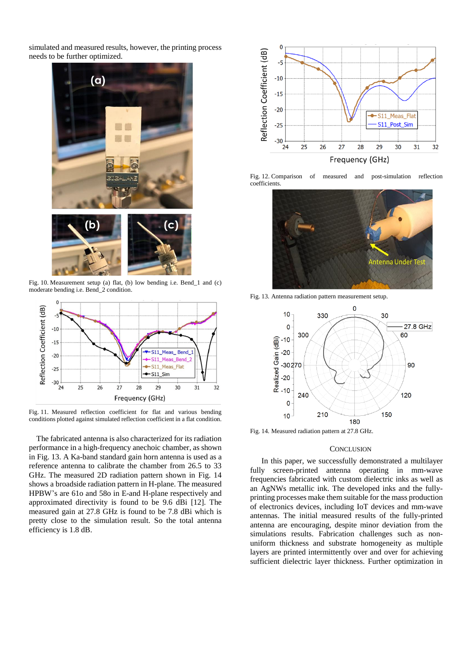simulated and measured results, however, the printing process needs to be further optimized.



Fig. 10. Measurement setup (a) flat, (b) low bending i.e. Bend\_1 and (c) moderate bending i.e. Bend\_2 condition.



Fig. 11. Measured reflection coefficient for flat and various bending conditions plotted against simulated reflection coefficient in a flat condition.

The fabricated antenna is also characterized for its radiation performance in a high-frequency anechoic chamber, as shown in Fig. 13. A Ka-band standard gain horn antenna is used as a reference antenna to calibrate the chamber from 26.5 to 33 GHz. The measured 2D radiation pattern shown in Fig. 14 shows a broadside radiation pattern in H-plane. The measured HPBW's are 61o and 58o in E-and H-plane respectively and approximated directivity is found to be 9.6 dBi [12]. The measured gain at 27.8 GHz is found to be 7.8 dBi which is pretty close to the simulation result. So the total antenna efficiency is 1.8 dB.



Fig. 12. Comparison of measured and post-simulation reflection coefficients.



Fig. 13. Antenna radiation pattern measurement setup.



Fig. 14. Measured radiation pattern at 27.8 GHz.

## **CONCLUSION**

In this paper, we successfully demonstrated a multilayer fully screen-printed antenna operating in mm-wave frequencies fabricated with custom dielectric inks as well as an AgNWs metallic ink. The developed inks and the fullyprinting processes make them suitable for the mass production of electronics devices, including IoT devices and mm-wave antennas. The initial measured results of the fully-printed antenna are encouraging, despite minor deviation from the simulations results. Fabrication challenges such as nonuniform thickness and substrate homogeneity as multiple layers are printed intermittently over and over for achieving sufficient dielectric layer thickness. Further optimization in